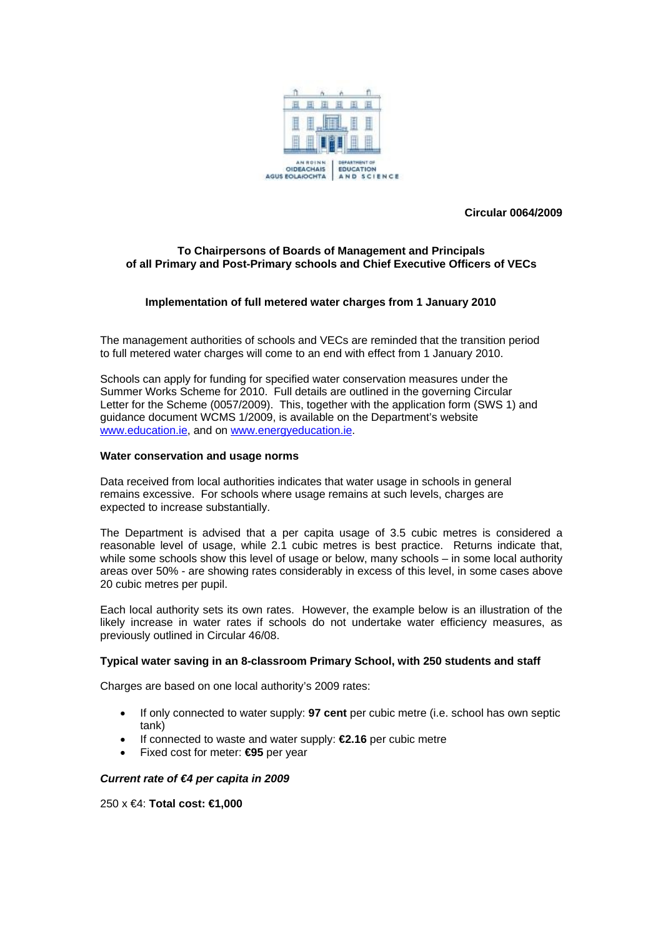

**Circular 0064/2009** 

# **To Chairpersons of Boards of Management and Principals of all Primary and Post-Primary schools and Chief Executive Officers of VECs**

# **Implementation of full metered water charges from 1 January 2010**

The management authorities of schools and VECs are reminded that the transition period to full metered water charges will come to an end with effect from 1 January 2010.

Schools can apply for funding for specified water conservation measures under the Summer Works Scheme for 2010. Full details are outlined in the governing Circular Letter for the Scheme (0057/2009). This, together with the application form (SWS 1) and guidance document WCMS 1/2009, is available on the Department's website [www.education.ie](http://www.education.ie/), and on [www.energyeducation.ie](http://www.energyeducation.ie/).

#### **Water conservation and usage norms**

Data received from local authorities indicates that water usage in schools in general remains excessive. For schools where usage remains at such levels, charges are expected to increase substantially.

The Department is advised that a per capita usage of 3.5 cubic metres is considered a reasonable level of usage, while 2.1 cubic metres is best practice. Returns indicate that, while some schools show this level of usage or below, many schools – in some local authority areas over 50% - are showing rates considerably in excess of this level, in some cases above 20 cubic metres per pupil.

Each local authority sets its own rates. However, the example below is an illustration of the likely increase in water rates if schools do not undertake water efficiency measures, as previously outlined in Circular 46/08.

### **Typical water saving in an 8-classroom Primary School, with 250 students and staff**

Charges are based on one local authority's 2009 rates:

- If only connected to water supply: **97 cent** per cubic metre (i.e. school has own septic tank)
- If connected to waste and water supply: **€2.16** per cubic metre
- Fixed cost for meter: **€95** per year

### *Current rate of €4 per capita in 2009*

250 x €4: **Total cost: €1,000**